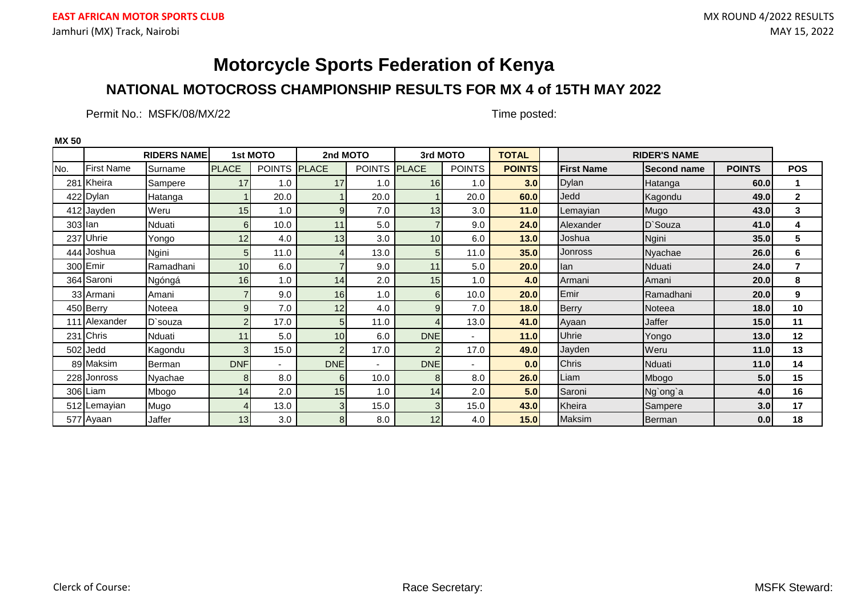### **NATIONAL MOTOCROSS CHAMPIONSHIP RESULTS FOR MX 4 of 15TH MAY 2022**

Permit No.: MSFK/08/MX/22 Time posted:

**MX 50**

|                   |                   | <b>RIDERS NAME</b> |                | 1st MOTO      | 2nd MOTO        |               |                 | 3rd MOTO      | <b>TOTAL</b>  |                   | <b>RIDER'S NAME</b> |               |                |
|-------------------|-------------------|--------------------|----------------|---------------|-----------------|---------------|-----------------|---------------|---------------|-------------------|---------------------|---------------|----------------|
| No.               | <b>First Name</b> | Surname            | <b>PLACE</b>   | <b>POINTS</b> | <b>PLACE</b>    | <b>POINTS</b> | <b>PLACE</b>    | <b>POINTS</b> | <b>POINTS</b> | <b>First Name</b> | <b>Second name</b>  | <b>POINTS</b> | <b>POS</b>     |
|                   | 281 Kheira        | Sampere            | 17             | 1.0           | 17              | 1.0           | 16 <sub>l</sub> | 1.0           | 3.0           | <b>Dylan</b>      | Hatanga             | 60.0          |                |
|                   | 422 Dylan         | Hatanga            |                | 20.0          |                 | 20.0          |                 | 20.0          | 60.0          | Jedd              | Kagondu             | 49.0          | $\mathbf{2}$   |
|                   | 412 Jayden        | Weru               | 15             | 1.0           | 9 <sub>l</sub>  | 7.0           | 13 <sup>1</sup> | 3.0           | 11.0          | Lemayian          | Mugo                | 43.0          | 3              |
| $303$ $\vert$ lan |                   | Nduati             | 6              | 10.0          | 11              | 5.0           |                 | 9.0           | 24.0          | Alexander         | D'Souza             | 41.0          | 4              |
| 237               | Uhrie             | Yongo              | 12             | 4.0           | 13              | 3.0           | 10 <sup>1</sup> | 6.0           | $13.0$        | Joshua            | Ngini               | 35.0          | 5              |
|                   | 444 Joshua        | Ngini              | 5              | 11.0          |                 | 13.0          | 5 <sub>l</sub>  | 11.0          | 35.0          | Jonross           | Nyachae             | 26.0          | 6              |
|                   | 300 Emir          | Ramadhani          | 10             | 6.0           |                 | 9.0           | 11              | 5.0           | 20.0          | lan               | Nduati              | 24.0          | $\overline{7}$ |
|                   | 364 Saroni        | Ngóngá             | 16             | 1.0           | 14              | 2.0           | 15              | 1.0           | 4.0           | Armani            | Amani               | 20.0          | 8              |
|                   | 33 Armani         | Amani              |                | 9.0           | 16              | 1.0           | 6 <sup>1</sup>  | 10.0          | 20.0          | Emir              | Ramadhani           | 20.0          | 9              |
|                   | 450 Berry         | Noteea             | 9              | 7.0           | 12              | 4.0           | $\mathsf{Q}$    | 7.0           | 18.0          | <b>Berry</b>      | Noteea              | 18.0          | 10             |
|                   | 111 Alexander     | D'souza            | $\overline{2}$ | 17.0          | 51              | 11.0          |                 | 13.0          | 41.0          | Ayaan             | Jaffer              | 15.0          | 11             |
| 231               | Chris             | Nduati             | 11             | 5.0           | 10 <sup>1</sup> | 6.0           | <b>DNE</b>      |               | 11.0          | Uhrie             | Yongo               | 13.0          | 12             |
|                   | 502 Jedd          | Kagondu            | 3              | 15.0          | 2               | 17.0          |                 | 17.0          | 49.0          | Jayden            | Weru                | 11.0          | 13             |
|                   | 89 Maksim         | <b>Berman</b>      | <b>DNF</b>     |               | <b>DNE</b>      |               | <b>DNE</b>      |               | 0.0           | Chris             | Nduati              | $11.0$        | 14             |
|                   | 228 Jonross       | Nyachae            | 8              | 8.0           | 6               | 10.0          | 8 <sup>1</sup>  | 8.0           | 26.0          | Liam              | Mbogo               | 5.0           | 15             |
|                   | 306 Liam          | Mbogo              | 14             | 2.0           | 15 <sup>1</sup> | 1.0           | 14              | 2.0           | 5.0           | Saroni            | Ng'ong'a            | 4.0           | 16             |
| 512 <sup>1</sup>  | Lemayian          | Mugo               | $\overline{A}$ | 13.0          | 3 <sub>l</sub>  | 15.0          | $\overline{3}$  | 15.0          | 43.0          | Kheira            | Sampere             | 3.0           | 17             |
|                   | 577 Ayaan         | Jaffer             | 13             | 3.0           | 8 <sup>1</sup>  | 8.0           | 12              | 4.0           | 15.0          | Maksim            | Berman              | 0.0           | 18             |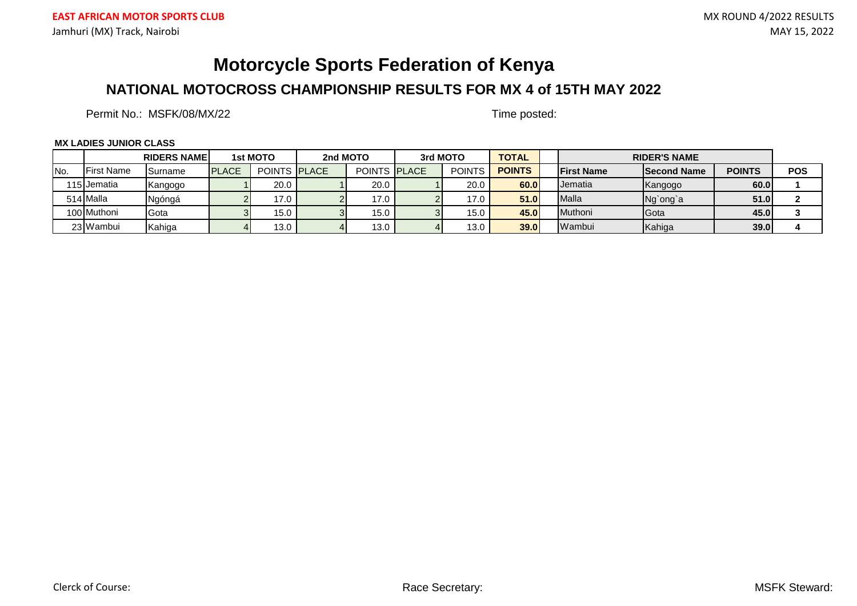### **NATIONAL MOTOCROSS CHAMPIONSHIP RESULTS FOR MX 4 of 15TH MAY 2022**

Permit No.: MSFK/08/MX/22 Time posted:

#### **MX LADIES JUNIOR CLASS**

|      |                   | <b>RIDERS NAMEL</b> |              | 1st MOTO            | 2nd MOTO |                     | 3rd MOTO      | <b>TOTAL</b>  |                    | <b>RIDER'S NAME</b> |               |            |
|------|-------------------|---------------------|--------------|---------------------|----------|---------------------|---------------|---------------|--------------------|---------------------|---------------|------------|
| INo. | <b>First Name</b> | <b>Surname</b>      | <b>PLACE</b> | <b>POINTS PLACE</b> |          | <b>POINTS PLACE</b> | <b>POINTS</b> | <b>POINTS</b> | <b>IFirst Name</b> | <b>Second Name</b>  | <b>POINTS</b> | <b>POS</b> |
|      | l 15 Jematia      | Kangogo             |              | 20.0                |          | 20.0                | 20.0          | 60.0          | <b>IJ</b> ematia   | Kangogo             | 60.0          |            |
|      | 514 Malla         | Ngóngá              |              | 17.0                |          | 17.0                | 17.0          | 51.0          | Malla              | Ng`ong`a            | 51.0          |            |
|      | 100 Muthoni       | <b>I</b> Gota       |              | 15.0                |          | 15.0                | 15.0          | 45.0          | <b>Muthoni</b>     | <b>Gota</b>         | 45.0          |            |
|      | 23 Wambui         | <b>Kahiga</b>       |              | 13.0                |          | 13.0                | 13.0          | 39.0          | Wambui             | Kahiga              | 39.0          |            |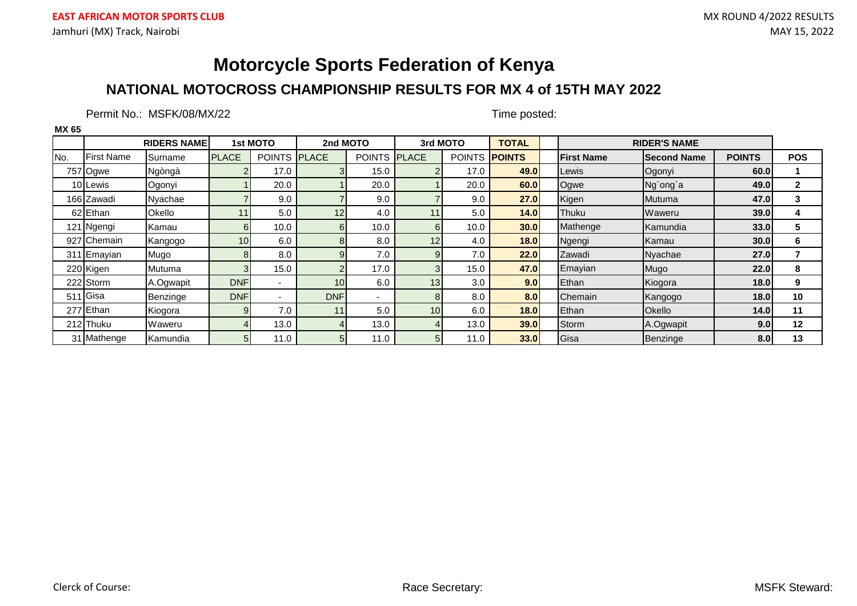### **NATIONAL MOTOCROSS CHAMPIONSHIP RESULTS FOR MX 4 of 15TH MAY 2022**

Permit No.: MSFK/08/MX/22 Time posted:

|      |                   | <b>RIDERS NAME</b> |                 | 1st MOTO            | 2nd MOTO   |                     |                | 3rd MOTO      | <b>TOTAL</b>  |                   | <b>RIDER'S NAME</b> |               |              |
|------|-------------------|--------------------|-----------------|---------------------|------------|---------------------|----------------|---------------|---------------|-------------------|---------------------|---------------|--------------|
| INo. | <b>First Name</b> | <b>ISurname</b>    | <b>PLACE</b>    | POINTS <b>PLACE</b> |            | <b>POINTS PLACE</b> |                | <b>POINTS</b> | <b>POINTS</b> | <b>First Name</b> | <b>Second Name</b>  | <b>POINTS</b> | <b>POS</b>   |
|      | 757 Ogwe          | Ngòngà             | $\mathcal{P}$   | 17.0                |            | 15.0                |                | 17.0          | 49.0          | Lewis             | Ogonyi              | 60.0          |              |
|      | 10 Lewis          | Ogonyi             |                 | 20.0                |            | 20.0                |                | 20.0          | 60.0          | Ogwe              | Ng'ong'a            | 49.0          | $\mathbf{2}$ |
|      | 166 Zawadi        | Nyachae            |                 | 9.0                 |            | 9.0                 |                | 9.0           | 27.0          | Kigen             | Mutuma              | 47.0          | 3            |
|      | 62 Ethan          | Okello             | 11              | 5.0                 | 12         | 4.0                 | 11             | 5.0           | 14.0          | Thuku             | Waweru              | 39.0          | 4            |
|      | 121 Ngengi        | Kamau              | $6 \mid$        | 10.0                | 6          | 10.0                | 6              | 10.0          | 30.0          | Mathenge          | Kamundia            | 33.0          | 5            |
|      | 927 Chemain       | Kangogo            | 10 <sup>1</sup> | 6.0                 | 8          | 8.0                 | 12             | 4.0           | 18.0          | Ngengi            | Kamau               | 30.0          | 6            |
|      | 311 Emayian       | Mugo               | 8               | 8.0                 | g          | 7.0                 | $\mathbf{Q}$   | 7.0           | 22.0          | Zawadi            | Nyachae             | 27.0          |              |
|      | 220 Kigen         | Mutuma             | 3               | 15.0                |            | 17.0                | 3              | 15.0          | 47.0          | Emayian           | Mugo                | 22.0          | 8            |
|      | 222 Storm         | A.Ogwapit          | <b>DNF</b>      | $\blacksquare$      | 10         | 6.0                 | 13             | 3.0           | 9.0           | Ethan             | Kiogora             | 18.0          | 9            |
|      | 511 Gisa          | Benzinge           | <b>DNF</b>      | -                   | <b>DNF</b> |                     | 8              | 8.0           | 8.0           | <b>Chemain</b>    | Kangogo             | 18.0          | 10           |
|      | 277 Ethan         | Kiogora            | $\overline{9}$  | 7.0                 | 11         | 5.0                 | 10             | 6.0           | 18.0          | Ethan             | Okello              | 14.0          | 11           |
|      | 212 Thuku         | Waweru             | 4               | 13.0                |            | 13.0                |                | 13.0          | <b>39.0</b>   | Storm             | A.Ogwapit           | 9.0           | 12           |
| 31   | Mathenge          | Kamundia           | 5 <sub>l</sub>  | 11.0                | 51         | 11.0                | 5 <sup>1</sup> | 11.0          | 33.0          | Gisa              | Benzinge            | 8.0           | 13           |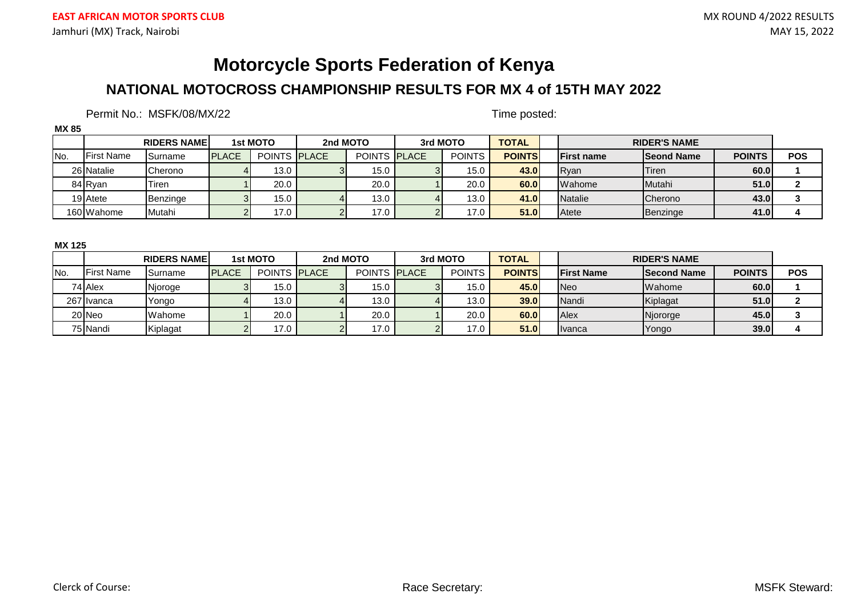### **NATIONAL MOTOCROSS CHAMPIONSHIP RESULTS FOR MX 4 of 15TH MAY 2022**

### Permit No.: MSFK/08/MX/22 Time posted:

| MX 85 |                   |                    |              |                      |          |                     |          |               |               |                    |                     |               |            |
|-------|-------------------|--------------------|--------------|----------------------|----------|---------------------|----------|---------------|---------------|--------------------|---------------------|---------------|------------|
|       |                   | <b>RIDERS NAME</b> |              | 1st MOTO             | 2nd MOTO |                     | 3rd MOTO |               | <b>TOTAL</b>  |                    | <b>RIDER'S NAME</b> |               |            |
| INo.  | <b>First Name</b> | <b>I</b> Surname   | <b>PLACE</b> | <b>POINTS IPLACE</b> |          | <b>POINTS PLACE</b> |          | <b>POINTS</b> | <b>POINTS</b> | <b>IFirst name</b> | <b>Seond Name</b>   | <b>POINTS</b> | <b>POS</b> |
|       | 26 Natalie        | <b>Cherono</b>     |              | 13.0                 |          | 15.0                |          | 15.0          | 43.0          | <b>R</b> van       | <b>Tiren</b>        | 60.0          |            |
|       | 84 Rvan           | Tiren              |              | 20.0                 |          | 20.0                |          | 20.0          | 60.0          | Wahome             | Mutahi              | 51.0          |            |
|       | 19 Atete          | Benzinge           |              | 15.0                 |          | 13.0                |          | 13.0          | 41.0          | Natalie            | Cherono             | 43.0          |            |
|       | 160 Wahome        | <b>I</b> Mutahi    |              | 17.0                 |          | 17.0                |          | 17.0          | 51.0          | <b>Atete</b>       | Benzinge            | 41.0          |            |

#### **MX 125**

|      |                   | <b>RIDERS NAMEL</b> |              | 1st MOTO            | 2nd MOTO |                     | 3rd MOTO |               | <b>TOTAL</b>  |                   | <b>RIDER'S NAME</b> |               |            |
|------|-------------------|---------------------|--------------|---------------------|----------|---------------------|----------|---------------|---------------|-------------------|---------------------|---------------|------------|
| INo. | <b>First Name</b> | <b>Surname</b>      | <b>PLACE</b> | <b>POINTS PLACE</b> |          | <b>POINTS PLACE</b> |          | <b>POINTS</b> | <b>POINTS</b> | <b>First Name</b> | <b>Second Name</b>  | <b>POINTS</b> | <b>POS</b> |
|      | 74 Alex           | Njoroge             |              | 15.0                |          | 15.0 <sub>1</sub>   |          | 15.0          | 45.0          | <b>INeo</b>       | <b>Wahome</b>       | 60.0          |            |
|      | 267 Ivanca        | Yongo               |              | 13.0                |          | 13.0                |          | 13.0          | 39.0          | Nandi             | Kiplagat            | 51.0          |            |
|      | 20 Neo            | <b>I</b> Wahome     |              | 20.0                |          | 20.0                |          | 20.0          | 60.0          | Alex              | Njororge            | 45.0          |            |
|      | 75 Nandi          | Kiplagat            |              | 17.0                |          | 17.0                |          | 17.0          | 51.0          | <b>Ilvanca</b>    | Yongo               | 39.0          |            |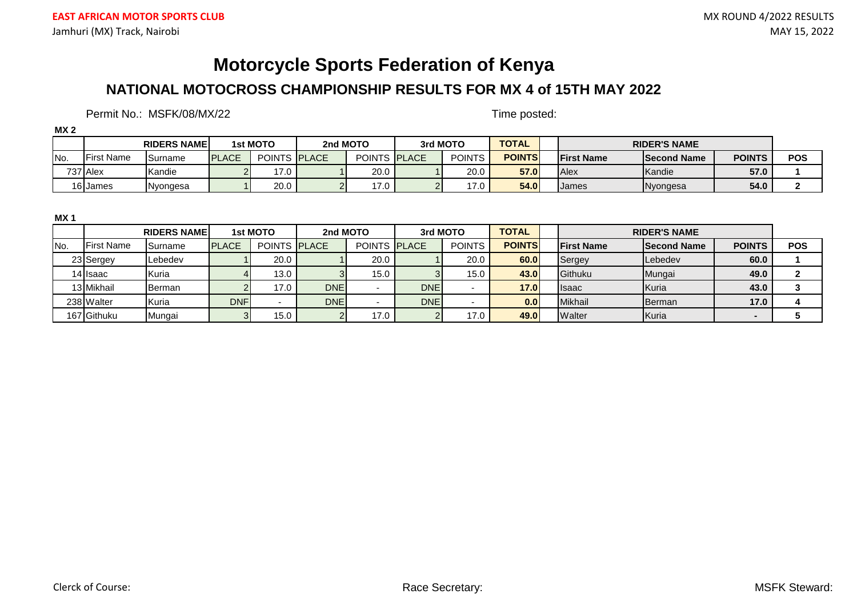### **NATIONAL MOTOCROSS CHAMPIONSHIP RESULTS FOR MX 4 of 15TH MAY 2022**

Permit No.: MSFK/08/MX/22 Time posted:

| MX <sub>2</sub> |                   |                     |               |                     |          |                     |               |               |                    |                     |               |            |
|-----------------|-------------------|---------------------|---------------|---------------------|----------|---------------------|---------------|---------------|--------------------|---------------------|---------------|------------|
|                 |                   | <b>RIDERS NAMEL</b> |               | 1st MOTO            | 2nd MOTO |                     | 3rd MOTO      | <b>TOTAL</b>  |                    | <b>RIDER'S NAME</b> |               |            |
| INo.            | <b>First Name</b> | <b>I</b> Surname    | <b>IPLACE</b> | <b>POINTS PLACE</b> |          | POINTS <b>PLACE</b> | <b>POINTS</b> | <b>POINTS</b> | <b>IFirst Name</b> | <b>Second Name</b>  | <b>POINTS</b> | <b>POS</b> |
|                 | 737 Alex          | Kandie              |               | 17.0                |          | 20.0                | 20.0          | <b>57.0</b>   | <b>Alex</b>        | Kandie              | 57.0          |            |
|                 | 16 James          | Nyongesa            |               | 20.0                |          | 17.0                | 17.0          | 54.0          | James              | Nyongesa            | 54.0          |            |

**MX 1**

|                   |                   | <b>RIDERS NAME</b> |               | 1st MOTO            | 2nd MOTO   |                     | 3rd MOTO   |               | <b>TOTAL</b>  |                    | <b>RIDER'S NAME</b> |                          |            |
|-------------------|-------------------|--------------------|---------------|---------------------|------------|---------------------|------------|---------------|---------------|--------------------|---------------------|--------------------------|------------|
| IN <sub>o</sub> . | <b>First Name</b> | <b>I</b> Surname   | <b>IPLACE</b> | <b>POINTS PLACE</b> |            | <b>POINTS PLACE</b> |            | <b>POINTS</b> | <b>POINTS</b> | <b>IFirst Name</b> | <b>Second Name</b>  | <b>POINTS</b>            | <b>POS</b> |
|                   | 23 Sergey         | Lebedev            |               | 20.0                |            | 20.0                |            | 20.0          | 60.0          | Sergey             | Lebedev             | 60.0                     |            |
|                   | 14 Isaac          | Kuria              |               | 13.0                |            | 15.0                |            | 15.0          | 43.0          | Githuku            | Mungai              | 49.0                     |            |
|                   | 13 Mikhail        | <b>I</b> Berman    |               | 17.0                | <b>DNE</b> |                     | <b>DNE</b> |               | 17.0          | <b>I</b> lsaac     | Kuria               | 43.0                     |            |
|                   | 238 Walter        | Kuria              | <b>DNF</b>    |                     | <b>DNE</b> |                     | <b>DNE</b> |               | 0.0           | Mikhail            | <b>I</b> Berman     | 17.0                     |            |
|                   | 167 Githuku       | Mungai             |               | 15.0                |            | 17.0                |            | 17.0          | 49.0          | Walter             | Kuria               | $\overline{\phantom{0}}$ |            |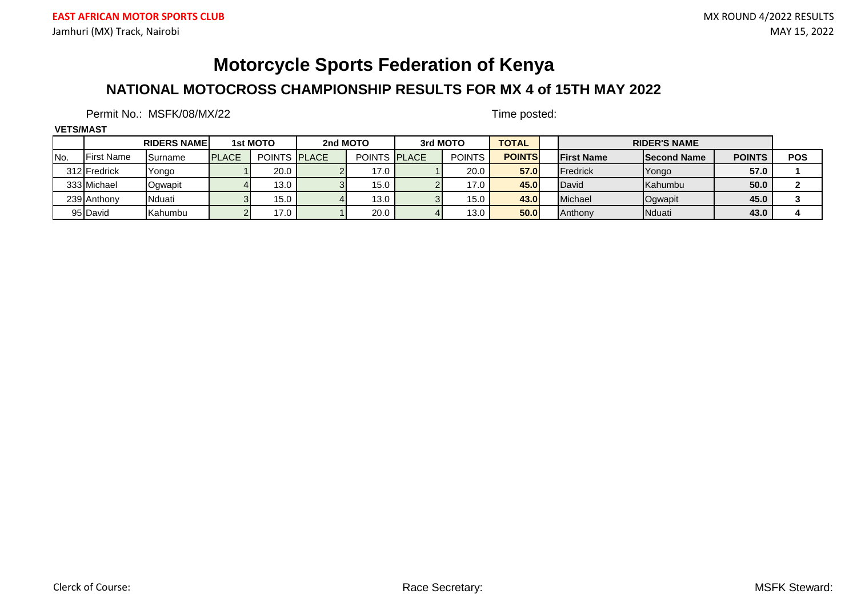### **NATIONAL MOTOCROSS CHAMPIONSHIP RESULTS FOR MX 4 of 15TH MAY 2022**

### Permit No.: MSFK/08/MX/22 Time posted:

#### **VETS/MAST**

|      |                   | <b>RIDERS NAMEL</b> |               | 1st MOTO            | 2nd MOTO |                     | 3rd MOTO      | <b>TOTAL</b>  |                    | <b>RIDER'S NAME</b> |               |            |
|------|-------------------|---------------------|---------------|---------------------|----------|---------------------|---------------|---------------|--------------------|---------------------|---------------|------------|
| INo. | <b>First Name</b> | <b>Surname</b>      | <b>IPLACE</b> | <b>POINTS PLACE</b> |          | <b>POINTS PLACE</b> | <b>POINTS</b> | <b>POINTS</b> | <b>IFirst Name</b> | <b>Second Name</b>  | <b>POINTS</b> | <b>POS</b> |
|      | 312 Fredrick      | <b>T</b> Yongo      |               | 20.0                |          | 17.0                | 20.0          | <b>57.0</b>   | <b>Fredrick</b>    | Yongo               | 57.0          |            |
|      | 333 Michael       | Ogwapit             |               | 13.0                |          | 15.0                | 17.0          | 45.0          | David              | Kahumbu             | 50.0          |            |
|      | 239 Anthony       | <b>I</b> Nduati     |               | 15.0                |          | 13.0                | 15.0          | 43.0          | Michael            | Ogwapit             | 45.0          |            |
|      | 95 David          | <b>Kahumbu</b>      |               | 17.0                |          | 20.0                | 13.0          | 50.0          | Anthony            | <b>Nduati</b>       | 43.0          |            |